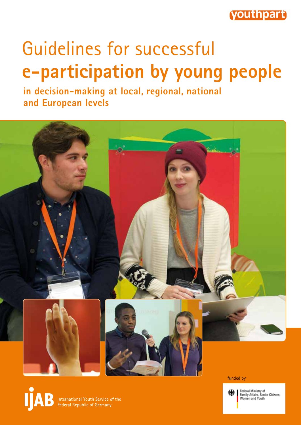

## Guidelines for successful **e-participation by young people**

**in decision-making at local, regional, national and European levels**



funded by

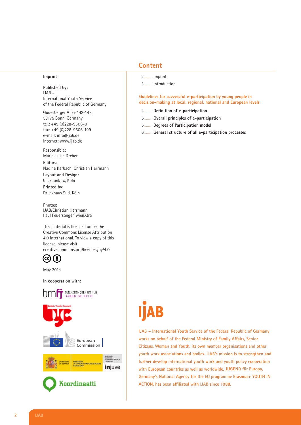#### **Imprint**

**Published by:** IJAB – International Youth Service of the Federal Republic of Germany

Godesberger Allee 142-148 53175 Bonn, Germany tel.: +49 (0)228-9506-0 fax: +49 (0)228-9506-199 e-mail: info@ijab.de Internet: www.ijab.de

**Responsible:**

Marie-Luise Dreber **Editors:** Nadine Karbach, Christian Herrmann **Layout and Design:** blickpunkt x, Köln **Printed by:** Druckhaus Süd, Köln

**Photos:** IJAB/Christian Herrmann, Paul Feuersänger, wienXtra

This material is licensed under the Creative Commons License Attribution 4.0 International. To view a copy of this license, please visit creativecommons.org/licenses/by/4.0

(†) (cc)

May 2014

**In cooperation with:**



## **Content**

- 2 ....... Imprint
- 3 ....... Introduction

**Guidelines for successful e-participation by young people in decision-making at local, regional, national and European levels** 

- 4 ....... **Definition of e-participation**
- 5 ....... **Overall principles of e-participation**
- 5 ....... **Degrees of Participation model**
- 6 ....... **General structure of all e-participation processes**

# AB

**IJAB – International Youth Service of the Federal Republic of Germany works on behalf of the Federal Ministry of Family Affairs, Senior Citizens, Women and Youth, its own member organisations and other youth work associations and bodies. IJAB's mission is to strengthen and further develop international youth work and youth policy cooperation with European countries as well as worldwide. JUGEND für Europa, Germany's National Agency for the EU programme Erasmus+ YOUTH IN ACTION, has been affiliated with IJAB since 1988.**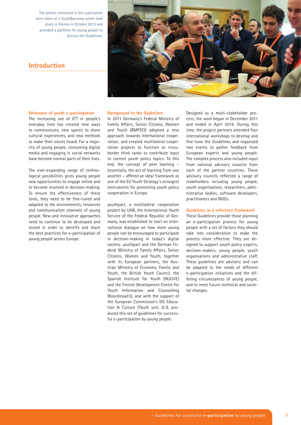The photos contained in this publication were taken at a YouthBarcamp which took place in Vienna in October 2013 and provided a platform for young people to discuss the Guidelines.



## **Introduction**

#### **Relevance of youth e-participation**

The increasing use of ICT in people's everyday lives has created new ways to communicate, new spaces to share cultural experiences, and new methods to make their voices heard. For a majority of young people, consuming digital media and engaging in social networks have become normal parts of their lives.

The ever-expanding range of technological possibilities gives young people new opportunities to engage online and to become involved in decision-making. To ensure the effectiveness of these tools, they need to be fine-tuned and adapted to the environments, resources and communication channels of young people. New and innovative approaches need to continue to be developed and tested in order to identify and share the best practices for e-participation of young people across Europe.

#### **Background to the Guidelines**

In 2011 Germany's Federal Ministry of Family Affairs, Senior Citizens, Women and Youth (BMFSFJ) adopted a new approach towards international cooperation, and created multilateral cooperation projects to function as crossborder think tanks to contribute input to current youth policy topics. To this end, the concept of peer learning – essentially, the act of learning from one another – offered an ideal framework as one of the EU Youth Strategy's strongest instruments for promoting youth policy cooperation in Europe.

youthpart, a multilateral cooperation project by IJAB, the International Youth Service of the Federal Republic of Germany, was established to start an international dialogue on how more young people can be encouraged to participate in decision-making in today's digital society. youthpart and the German Federal Ministry of Family Affairs, Senior Citizens, Women and Youth, together with its European partners, the Austrian Ministry of Economy, Family and Youth, the British Youth Council, the Spanish Institute for Youth (INJUVE) and the Finnish Development Centre for Youth Information and Counselling (Koordinaatti), and with the support of the European Commission's DG Education & Culture (Youth unit, D.1), produced this set of guidelines for successful e-participation by young people.

Designed as a multi-stakeholder process, the work began in December 2011 and ended in April 2014. During this time, the project partners attended four international workshops to develop and fine-tune the Guidelines and organised two events to gather feedback from European experts and young people. The complex process also included input from national advisory councils from each of the partner countries. These advisory councils reflected a range of stakeholders including young people, youth organisations, researchers, administrative bodies, software developers, practitioners and NGOs.

#### **Guidelines as a reference framework**

These Guidelines provide those planning an e-participation process for young people with a set of factors they should take into consideration to make the process more effective. They are designed to support youth policy experts, decision-makers, young people, youth organisations and administrative staff. These guidelines are advisory and can be adapted to the needs of different e-participation initiatives and the differing circumstances of young people, and to meet future technical and societal changes.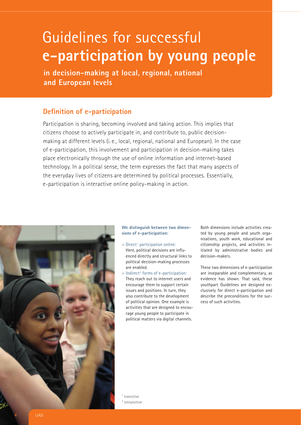## Guidelines for successful **e-participation by young people**

**in decision-making at local, regional, national and European levels**

## **Definition of e-participation**

Participation is sharing, becoming involved and taking action. This implies that citizens choose to actively participate in, and contribute to, public decisionmaking at different levels (i. e., local, regional, national and European). In the case of e-participation, this involvement and participation in decision-making takes place electronically through the use of online information and internet-based technology. In a political sense, the term expresses the fact that many aspects of the everyday lives of citizens are determined by political processes. Essentially, e-participation is interactive online policy-making in action.



## **We distinguish between two dimensions of e-participation:**

- > Direct<sup>1</sup> participation online: Here, political decisions are influenced directly and structural links to political decision-making processes are enabled.
- > Indirect<sup>2</sup> forms of e-participation: They reach out to internet users and encourage them to support certain issues and positions. In turn, they also contribute to the development of political opinion. One example is activities that are designed to encourage young people to participate in political matters via digital channels.

Both dimensions include activities created by young people and youth organisations, youth work, educational and citizenship projects, and activities initiated by administrative bodies and decision-makers.

These two dimensions of e-participation are inseparable and complementary, as evidence has shown. That said, these youthpart Guidelines are designed exclusively for direct e-participation and describe the preconditions for the success of such activities.

<sup>1</sup> transitive <sup>2</sup> intransitive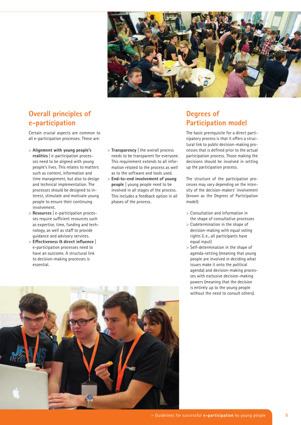

## **Overall principles of e-participation**

Certain crucial aspects are common to all e-participation processes. These are:

- > **Alignment with young people's realities** | e-participation processes need to be aligned with young people's lives. This relates to matters such as content, information and time management, but also to design and technical implementation. The processes should be designed to interest, stimulate and motivate young people to ensure their continuing involvement.
- > **Resources** | e-participation processes require sufficient resources such as expertise, time, funding and technology, as well as staff to provide guidance and advisory services.
- > **Effectiveness & direct influence** | e-participation processes need to have an outcome. A structural link to decision-making processes is essential.
- > **Transparency** | the overall process needs to be transparent for everyone. This requirement extends to all information related to the process as well as to the software and tools used.
- > **End-to-end involvement of young people** | young people need to be involved in all stages of the process. This includes a feedback option in all phases of the process.

## **Degrees of Participation model**

The basic prerequisite for a direct participatory process is that it offers a structural link to public decision-making processes that is defined prior to the actual participation process. Those making the decisions should be involved in setting up the participation process.

The structure of the participation processes may vary depending on the intensity of the decision-makers' involvement (known as the Degrees of Participation model):

- > Consultation and information in the shape of consultative processes
- > Codetermination in the shape of decision-making with equal voting rights (i. e., all participants have equal input)
- > Self-determination in the shape of agenda-setting (meaning that young people are involved in deciding what issues make it onto the political agenda) and decision-making processes with exclusive decision-making powers (meaning that the decision is entirely up to the young people without the need to consult others).

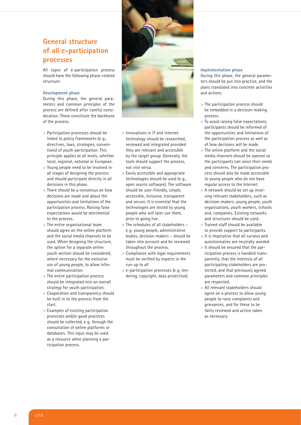## **General structure of all e-participation processes**

All types of e-participation process should have the following phase-related structure:

### **Development phase**

During this phase, the general parameters and common principles of the process are defined after careful consideration. These constitute the backbone of the process.

- > Participation processes should be linked to policy frameworks (e. g., directives, laws, strategies, conventions) of youth participation. This principle applies at all levels, whether local, regional, national or European.
- > Young people need to be involved in all stages of designing the process and should participate directly in all decisions in this phase.
- > There should be a consensus on how decisions are made and about the opportunities and limitations of the participation process. Raising false expectations would be detrimental to the process.
- > The entire organisational team should agree on the online platform and the social media channels to be used. When designing the structure, the option for a separate online youth section should be considered, where necessary for the exclusive use of young people, to allow informal communication.
- > The entire participation process should be integrated into an overall strategy for youth participation.
- > Cooperation and transparency should be built in to the process from the start.
- > Examples of existing participation processes and/or good practices should be collected, e. g. through the consultation of online platforms or databases. This input may be used as a resource when planning a participation process.



- > Innovations in IT and internet technology should be researched, reviewed and integrated provided they are relevant and accessible by the target group. Generally, the tools should support the process, not vice versa.
- > Easily accessible and appropriate technologies should be used (e. g., open source software). The software should be user-friendly, simple, accessible, inclusive, transparent and secure. It is essential that the technologies are tested by young people who will later use them, prior to going live.
- > The schedules of all stakeholders e. g. young people, administrative bodies, decision-makers – should be taken into account and be reviewed throughout the process.
- > Compliance with legal requirements must be verified by experts in the run-up to all
- > e-participation processes (e. g. tendering, copyright, data protection).

## **Implementation phase**

During this phase, the general parameters should be put into practice, and the plans translated into concrete activities and actions.

- > The participation process should be embedded in a decision-making process.
- > To avoid raising false expectations, participants should be informed of the opportunities and limitations of the participation process as well as of how decisions will be made.
- > The online platform and the social media channels should be opened so the participants can voice their needs and concerns. The participation process should also be made accessible to young people who do not have regular access to the Internet.
- > A network should be set up involving relevant stakeholders, such as decision-makers, young people, youth organisations, youth workers, schools and, companies. Existing networks and structures should be used.
- > Trained staff should be available to provide support to participants.
- > It is imperative that all surveys and questionnaires are neutrally worded.
- > It should be ensured that the participation process is handled transparently, that the interests of all participating stakeholders are protected, and that previously agreed parameters and common principles are respected.
- > All relevant stakeholders should agree on a process to allow young people to raise complaints and grievances, and for these to be fairly reviewed and action taken as necessary.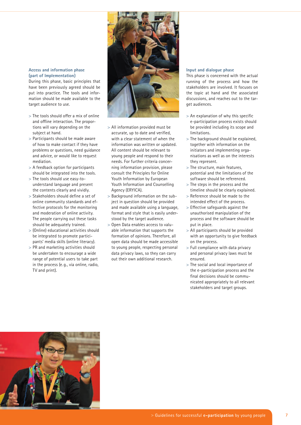## **Access and information phase (part of Implementation)**

During this phase, basic principles that have been previously agreed should be put into practice. The tools and information should be made available to the target audience to use.

- > The tools should offer a mix of online and offline interaction. The proportions will vary depending on the subject at hand.
- > Participants should be made aware of how to make contact if they have problems or questions, need guidance and advice, or would like to request mediation.
- > A feedback option for participants should be integrated into the tools.
- > The tools should use easy-tounderstand language and present the contents clearly and vividly.
- > Stakeholders should define a set of online community standards and effective protocols for the monitoring and moderation of online activity. The people carrying out these tasks should be adequately trained.
- > (Online) educational activities should be integrated to promote participants' media skills (online literacy).
- > PR and marketing activities should be undertaken to encourage a wide range of potential users to take part in the process (e. g., via online, radio, TV and print).



- > All information provided must be accurate, up to date and verified, with a clear statement of when the information was written or updated. All content should be relevant to young people and respond to their needs. For further criteria concerning information provision, please consult the Principles for Online Youth Information by European Youth Information and Counselling Agency (ERYICA).
- > Background information on the subject in question should be provided and made available using a language, format and style that is easily understood by the target audience.
- > Open Data enables access to valuable information that supports the formation of opinions. Therefore, all open data should be made accessible to young people, respecting personal data privacy laws, so they can carry out their own additional research.

### **Input and dialogue phase**

This phase is concerned with the actual running of the process and how the stakeholders are involved. It focuses on the topic at hand and the associated discussions, and reaches out to the target audiences.

- > An explanation of why this specific e-participation process exists should be provided including its scope and limitations.
- > The background should be explained, together with information on the initiators and implementing organisations as well as on the interests they represent.
- > The structure, main features, potential and the limitations of the software should be referenced.
- > The steps in the process and the timeline should be clearly explained.
- > Reference should be made to the intended effect of the process.
- > Effective safeguards against the unauthorised manipulation of the process and the software should be put in place.
- > All participants should be provided with an opportunity to give feedback on the process.
- > Full compliance with data privacy and personal privacy laws must be ensured.
- > The social and local importance of the e-participation process and the final decisions should be communicated appropriately to all relevant stakeholders and target groups.